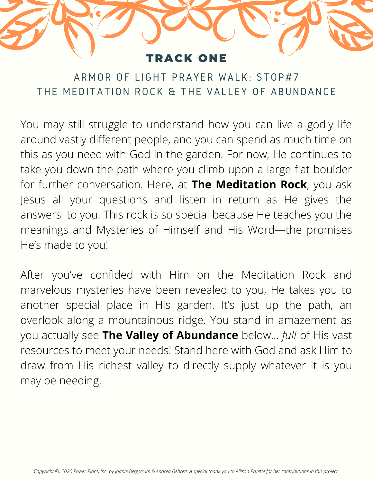## RACK ONE

ARMOR OF LIGHT PRAYER WALK: STOP#7 THE MEDITATION ROCK & THE VALLEY OF ABUNDANCE

You may still struggle to understand how you can live a godly life around vastly different people, and you can spend as much time on this as you need with God in the garden. For now, He continues to take you down the path where you climb upon a large flat boulder for further conversation. Here, at **The Meditation Rock**, you ask Jesus all your questions and listen in return as He gives the answers to you. This rock is so special because He teaches you the meanings and Mysteries of Himself and His Word—the promises He's made to you!

After you've confided with Him on the Meditation Rock and marvelous mysteries have been revealed to you, He takes you to another special place in His garden. It's just up the path, an overlook along a mountainous ridge. You stand in amazement as you actually see **The Valley of Abundance** below… *full* of His vast resources to meet your needs! Stand here with God and ask Him to draw from His richest valley to directly supply whatever it is you may be needing.